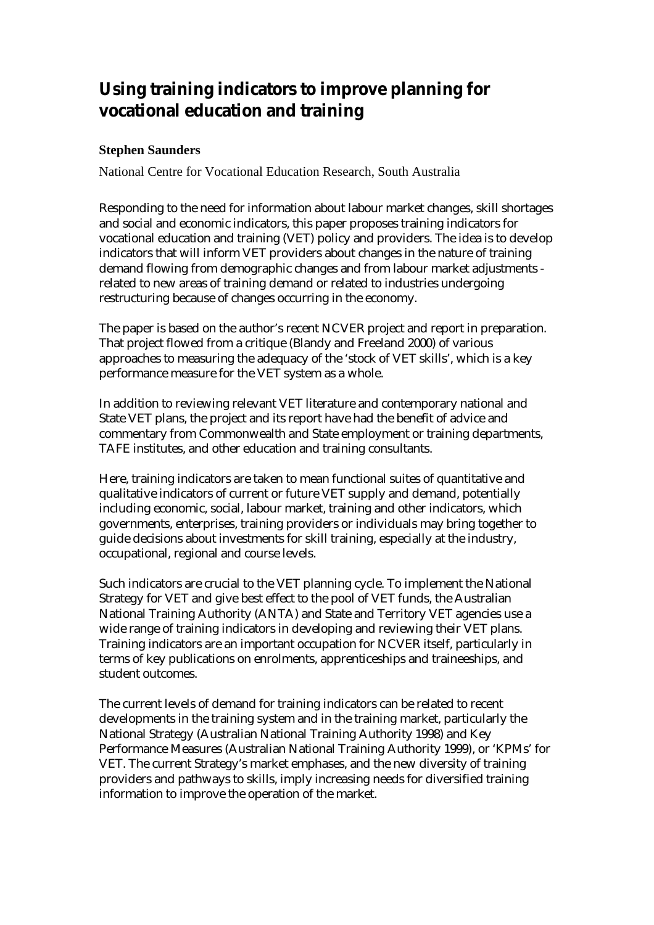# **Using training indicators to improve planning for vocational education and training**

### **Stephen Saunders**

National Centre for Vocational Education Research, South Australia

Responding to the need for information about labour market changes, skill shortages and social and economic indicators, this paper proposes training indicators for vocational education and training (VET) policy and providers. The idea is to develop indicators that will inform VET providers about changes in the nature of training demand flowing from demographic changes and from labour market adjustments related to new areas of training demand or related to industries undergoing restructuring because of changes occurring in the economy.

The paper is based on the author's recent NCVER project and report in preparation. That project flowed from a critique (Blandy and Freeland 2000) of various approaches to measuring the adequacy of the 'stock of VET skills', which is a key performance measure for the VET system as a whole.

In addition to reviewing relevant VET literature and contemporary national and State VET plans, the project and its report have had the benefit of advice and commentary from Commonwealth and State employment or training departments, TAFE institutes, and other education and training consultants.

Here, training indicators are taken to mean functional suites of quantitative and qualitative indicators of current or future VET supply and demand, potentially including economic, social, labour market, training and other indicators, which governments, enterprises, training providers or individuals may bring together to guide decisions about investments for skill training, especially at the industry, occupational, regional and course levels.

Such indicators are crucial to the VET planning cycle. To implement the National Strategy for VET and give best effect to the pool of VET funds, the Australian National Training Authority (ANTA) and State and Territory VET agencies use a wide range of training indicators in developing and reviewing their VET plans. Training indicators are an important occupation for NCVER itself, particularly in terms of key publications on enrolments, apprenticeships and traineeships, and student outcomes.

The current levels of demand for training indicators can be related to recent developments in the training system and in the training market, particularly the National Strategy (Australian National Training Authority 1998) and Key Performance Measures (Australian National Training Authority 1999), or 'KPMs' for VET. The current Strategy's market emphases, and the new diversity of training providers and pathways to skills, imply increasing needs for diversified training information to improve the operation of the market.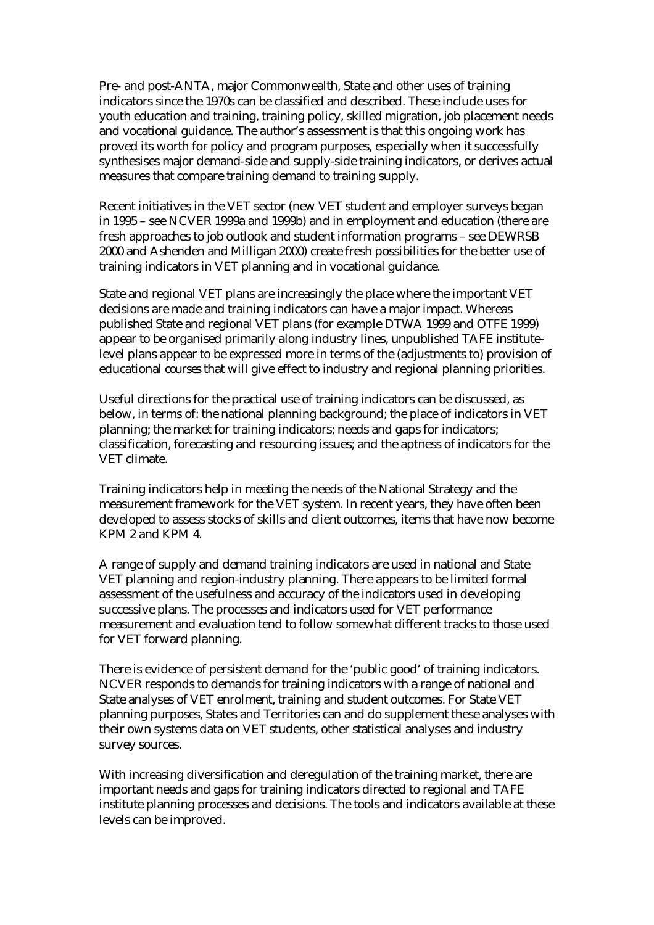Pre- and post-ANTA, major Commonwealth, State and other uses of training indicators since the 1970s can be classified and described. These include uses for youth education and training, training policy, skilled migration, job placement needs and vocational guidance. The author's assessment is that this ongoing work has proved its worth for policy and program purposes, especially when it successfully synthesises major demand-side and supply-side training indicators, or derives actual measures that compare training demand to training supply.

Recent initiatives in the VET sector (new VET student and employer surveys began in 1995 – see NCVER 1999a and 1999b) and in employment and education (there are fresh approaches to job outlook and student information programs – see DEWRSB 2000 and Ashenden and Milligan 2000) create fresh possibilities for the better use of training indicators in VET planning and in vocational guidance.

State and regional VET plans are increasingly the place where the important VET decisions are made and training indicators can have a major impact. Whereas published State and regional VET plans (for example DTWA 1999 and OTFE 1999) appear to be organised primarily along industry lines, unpublished TAFE institutelevel plans appear to be expressed more in terms of the (adjustments to) provision of educational *courses* that will give effect to industry and regional planning priorities.

Useful directions for the practical use of training indicators can be discussed, as below, in terms of: the national planning background; the place of indicators in VET planning; the market for training indicators; needs and gaps for indicators; classification, forecasting and resourcing issues; and the aptness of indicators for the VET climate.

Training indicators help in meeting the needs of the National Strategy and the measurement framework for the VET system. In recent years, they have often been developed to assess stocks of skills and client outcomes, items that have now become KPM 2 and KPM 4.

A range of supply and demand training indicators are used in national and State VET planning and region-industry planning. There appears to be limited formal assessment of the usefulness and accuracy of the indicators used in developing successive plans. The processes and indicators used for VET performance measurement and evaluation tend to follow somewhat different tracks to those used for VET forward planning.

There is evidence of persistent demand for the 'public good' of training indicators. NCVER responds to demands for training indicators with a range of national and State analyses of VET enrolment, training and student outcomes. For State VET planning purposes, States and Territories can and do supplement these analyses with their own systems data on VET students, other statistical analyses and industry survey sources.

With increasing diversification and deregulation of the training market, there are important needs and gaps for training indicators directed to regional and TAFE institute planning processes and decisions. The tools and indicators available at these levels can be improved.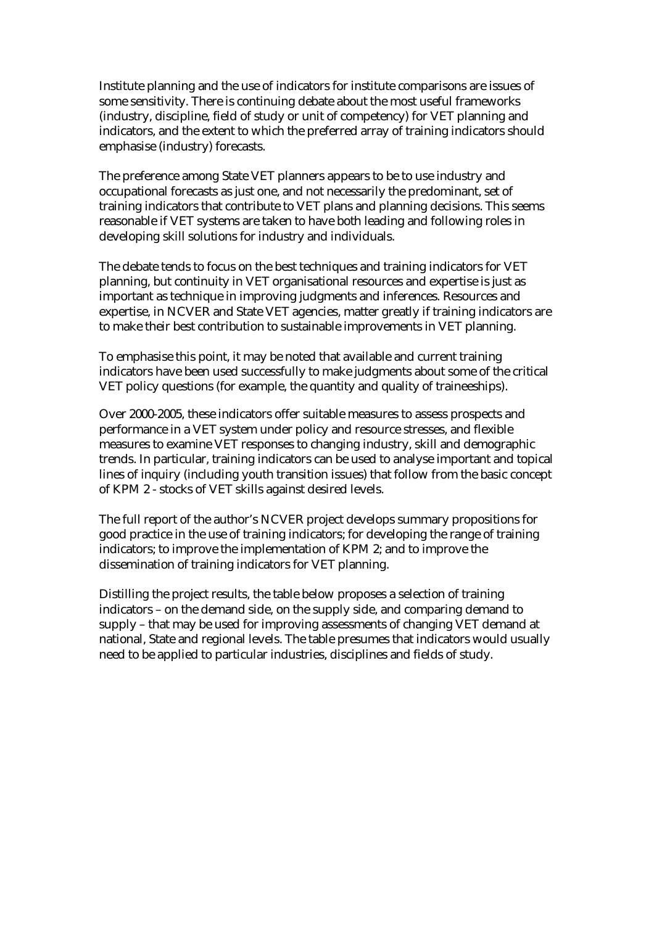Institute planning and the use of indicators for institute comparisons are issues of some sensitivity. There is continuing debate about the most useful frameworks (industry, discipline, field of study or unit of competency) for VET planning and indicators, and the extent to which the preferred array of training indicators should emphasise (industry) forecasts.

The preference among State VET planners appears to be to use industry and occupational forecasts as just one, and not necessarily the predominant, set of training indicators that contribute to VET plans and planning decisions. This seems reasonable if VET systems are taken to have both leading and following roles in developing skill solutions for industry and individuals.

The debate tends to focus on the best techniques and training indicators for VET planning, but continuity in VET organisational resources and expertise is just as important as technique in improving judgments and inferences. Resources and expertise, in NCVER and State VET agencies, matter greatly if training indicators are to make their best contribution to sustainable improvements in VET planning.

To emphasise this point, it may be noted that available and current training indicators have been used successfully to make judgments about some of the critical VET policy questions (for example, the quantity and quality of traineeships).

Over 2000-2005, these indicators offer suitable measures to assess prospects and performance in a VET system under policy and resource stresses, and flexible measures to examine VET responses to changing industry, skill and demographic trends. In particular, training indicators can be used to analyse important and topical lines of inquiry (including youth transition issues) that follow from the basic concept of KPM 2 - stocks of VET skills against desired levels.

The full report of the author's NCVER project develops summary propositions for good practice in the use of training indicators; for developing the range of training indicators; to improve the implementation of KPM 2; and to improve the dissemination of training indicators for VET planning.

Distilling the project results, the table below proposes a selection of training indicators – on the demand side, on the supply side, and comparing demand to supply – that may be used for improving assessments of changing VET demand at national, State and regional levels. The table presumes that indicators would usually need to be applied to particular industries, disciplines and fields of study.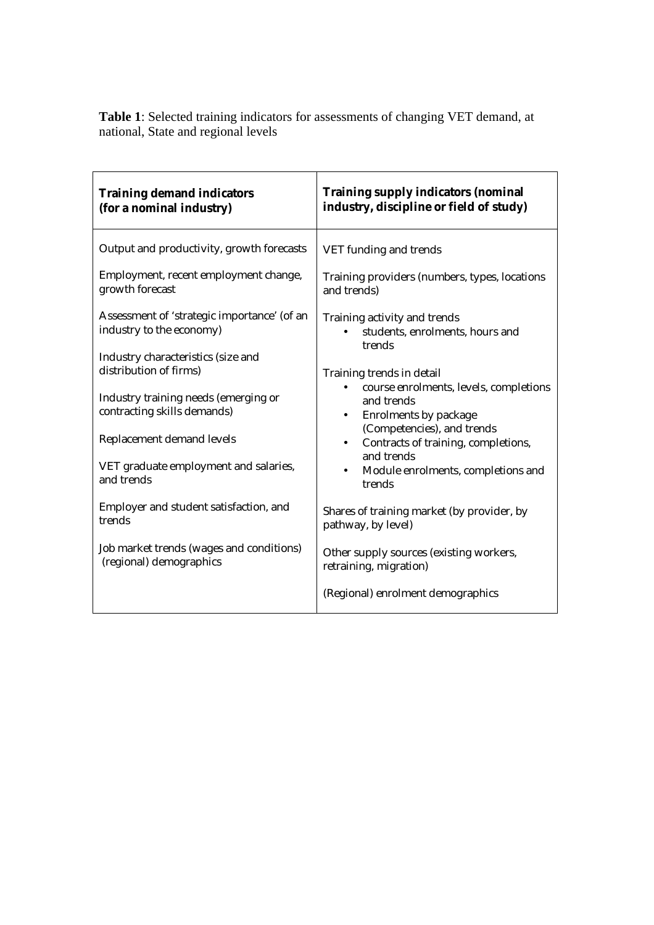| <b>Training demand indicators</b><br>(for a nominal industry)                                                                                                                                                                                                                                                                                                                                                                                                                                                                          | <b>Training supply indicators (nominal</b><br>industry, discipline or field of study)                                                                                                                                                                                                                                                                                                                                                                                                                                                                                                                       |
|----------------------------------------------------------------------------------------------------------------------------------------------------------------------------------------------------------------------------------------------------------------------------------------------------------------------------------------------------------------------------------------------------------------------------------------------------------------------------------------------------------------------------------------|-------------------------------------------------------------------------------------------------------------------------------------------------------------------------------------------------------------------------------------------------------------------------------------------------------------------------------------------------------------------------------------------------------------------------------------------------------------------------------------------------------------------------------------------------------------------------------------------------------------|
| Output and productivity, growth forecasts<br>Employment, recent employment change,<br>growth forecast<br>Assessment of 'strategic importance' (of an<br>industry to the economy)<br>Industry characteristics (size and<br>distribution of firms)<br>Industry training needs (emerging or<br>contracting skills demands)<br>Replacement demand levels<br>VET graduate employment and salaries,<br>and trends<br>Employer and student satisfaction, and<br>trends<br>Job market trends (wages and conditions)<br>(regional) demographics | VET funding and trends<br>Training providers (numbers, types, locations<br>and trends)<br>Training activity and trends<br>students, enrolments, hours and<br>trends<br>Training trends in detail<br>course enrolments, levels, completions<br>and trends<br><b>Enrolments by package</b><br>$\bullet$<br>(Competencies), and trends<br>Contracts of training, completions,<br>$\bullet$<br>and trends<br>Module enrolments, completions and<br>$\bullet$<br>trends<br>Shares of training market (by provider, by<br>pathway, by level)<br>Other supply sources (existing workers,<br>retraining, migration) |
|                                                                                                                                                                                                                                                                                                                                                                                                                                                                                                                                        | (Regional) enrolment demographics                                                                                                                                                                                                                                                                                                                                                                                                                                                                                                                                                                           |

**Table 1**: Selected training indicators for assessments of changing VET demand, at national, State and regional levels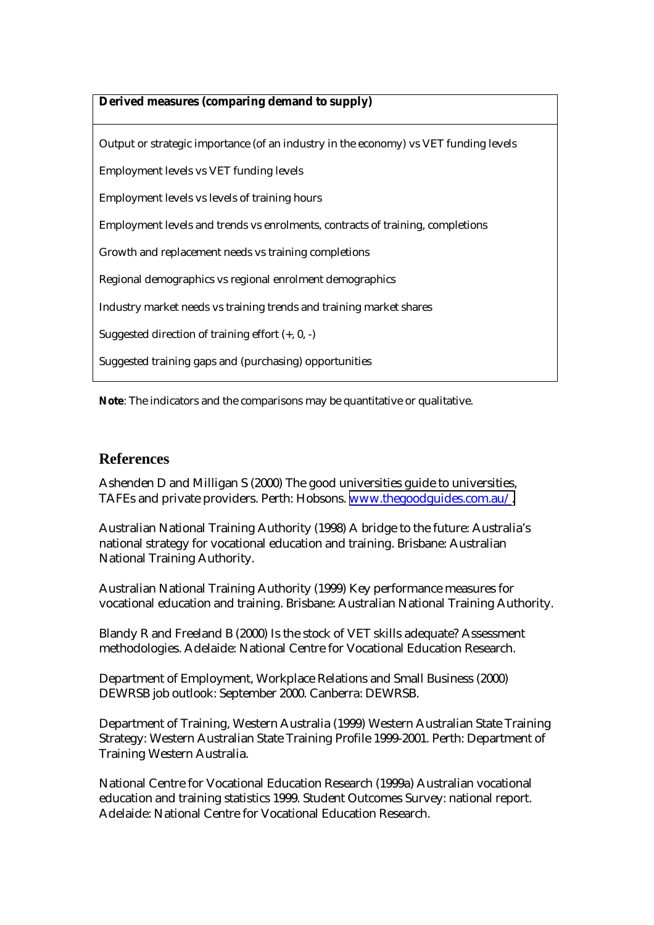#### **Derived measures (comparing demand to supply)**

Output or strategic importance (of an industry in the economy) vs VET funding levels Employment levels vs VET funding levels Employment levels vs levels of training hours Employment levels and trends vs enrolments, contracts of training, completions Growth and replacement needs vs training completions Regional demographics vs regional enrolment demographics Industry market needs vs training trends and training market shares Suggested direction of training effort (+, 0, -) Suggested training gaps and (purchasing) opportunities

**Note**: The indicators and the comparisons may be quantitative or qualitative.

#### **References**

Ashenden D and Milligan S (2000) The good universities guide to universities, TAFEs and private providers. Perth: Hobsons. [www.thegoodguides.com.au/.](http://www.thegoodguides.com.au/)

Australian National Training Authority (1998) A bridge to the future: Australia's national strategy for vocational education and training. Brisbane: Australian National Training Authority.

Australian National Training Authority (1999) Key performance measures for vocational education and training. Brisbane: Australian National Training Authority.

Blandy R and Freeland B (2000) Is the stock of VET skills adequate? Assessment methodologies. Adelaide: National Centre for Vocational Education Research.

Department of Employment, Workplace Relations and Small Business (2000) DEWRSB job outlook: September 2000. Canberra: DEWRSB.

Department of Training, Western Australia (1999) Western Australian State Training Strategy: Western Australian State Training Profile 1999-2001. Perth: Department of Training Western Australia.

National Centre for Vocational Education Research (1999a) Australian vocational education and training statistics 1999. Student Outcomes Survey: national report. Adelaide: National Centre for Vocational Education Research.